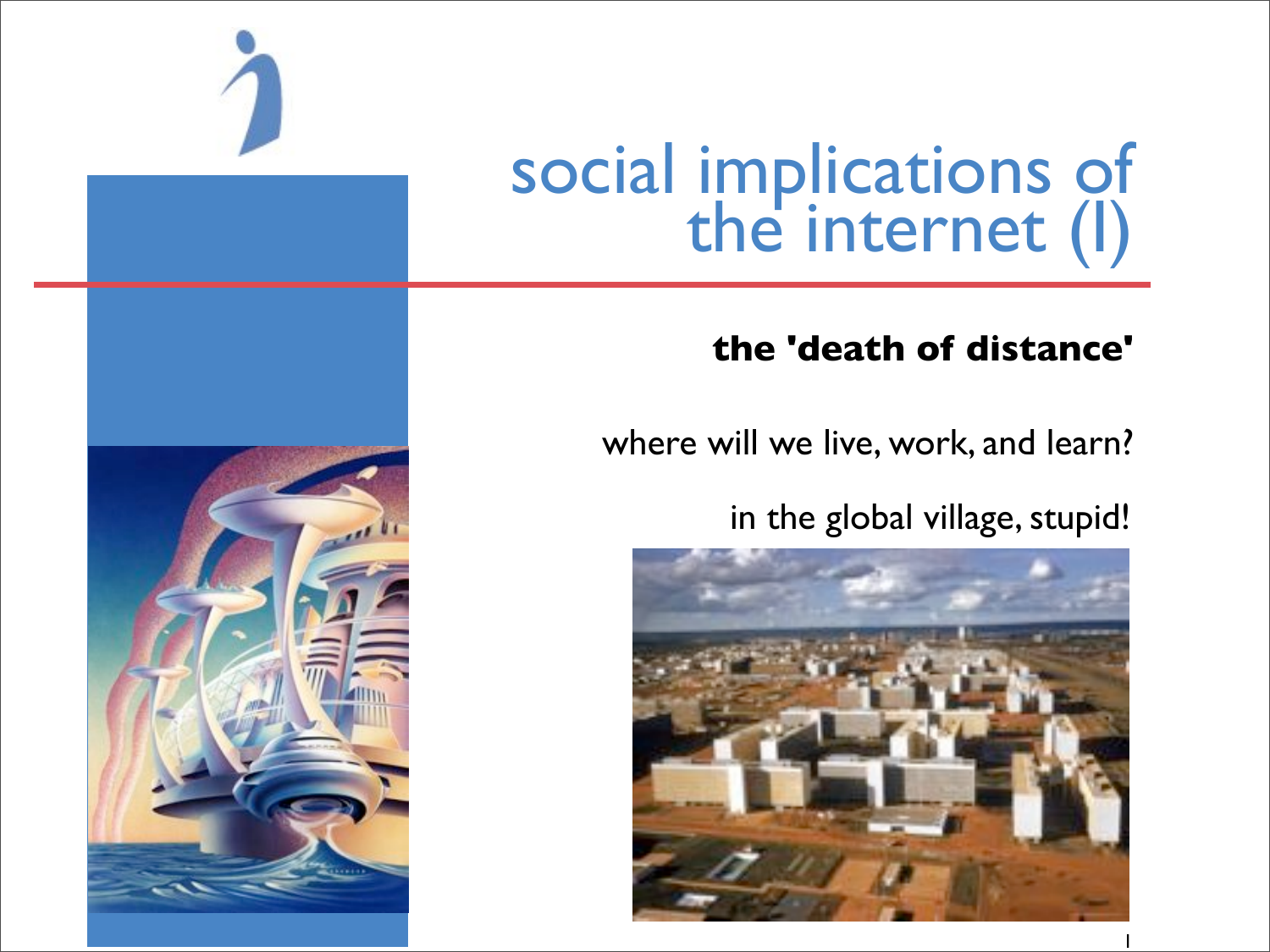

# social implications of<br>the internet (I)

### **the 'death of distance'**

where will we live, work, and learn?

in the global village, stupid!

1



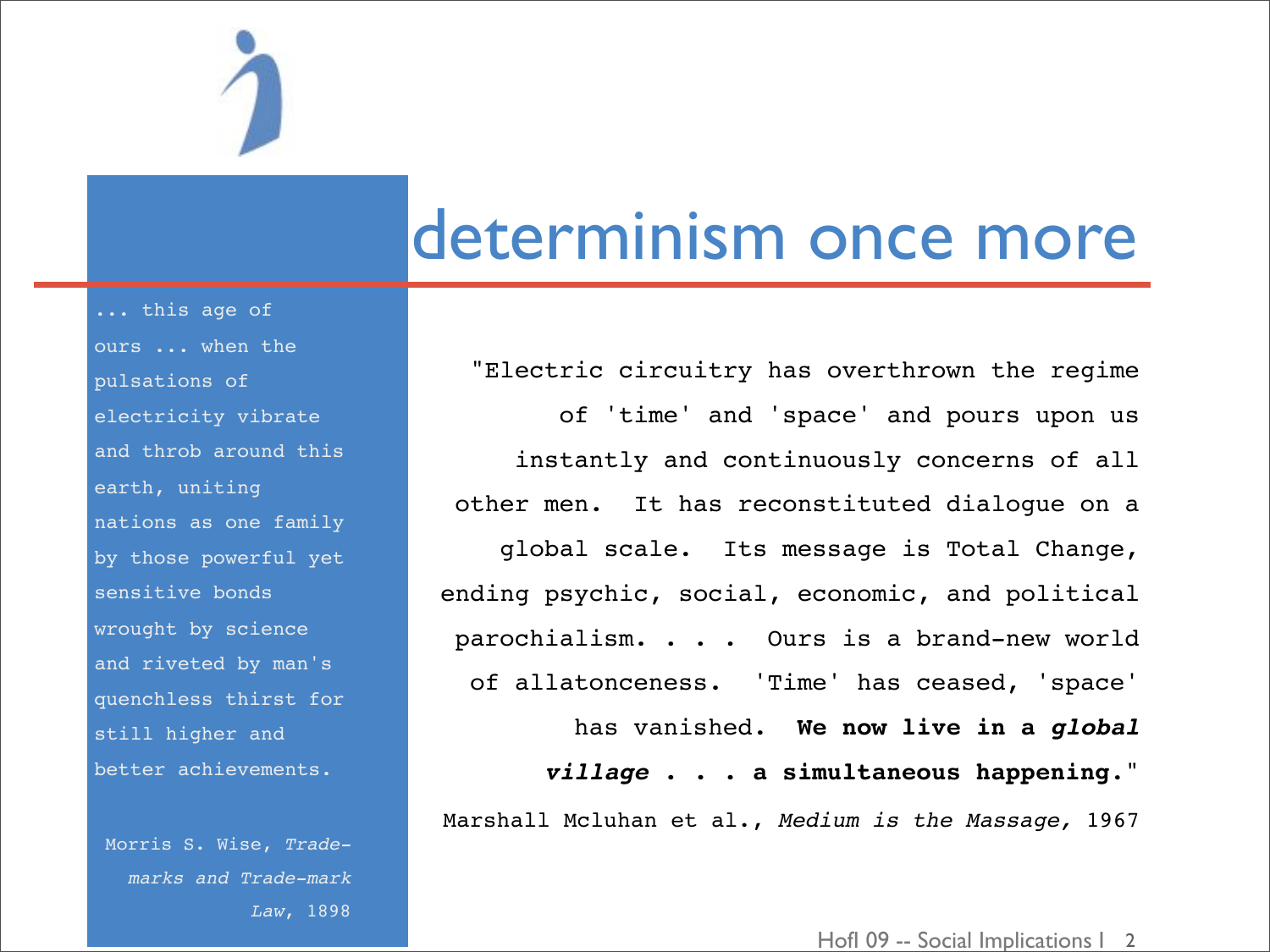### determinism once more

"Electric circuitry has overthrown the regime of 'time' and 'space' and pours upon us instantly and continuously concerns of all other men. It has reconstituted dialogue on a global scale. Its message is Total Change, ending psychic, social, economic, and political parochialism. . . . Ours is a brand-new world of allatonceness. 'Time' has ceased, 'space' has vanished. **We now live in a** *global village* **. . . a simultaneous happening**." Marshall Mcluhan et al., *Medium is the Massage,* 1967

... this age of ours ... when the pulsations of electricity vibrate and throb around this earth, uniting nations as one family by those powerful yet sensitive bonds wrought by science and riveted by man's quenchless thirst for still higher and better achievements.

Morris S. Wise, *Trademarks and Trade-mark Law*, 1898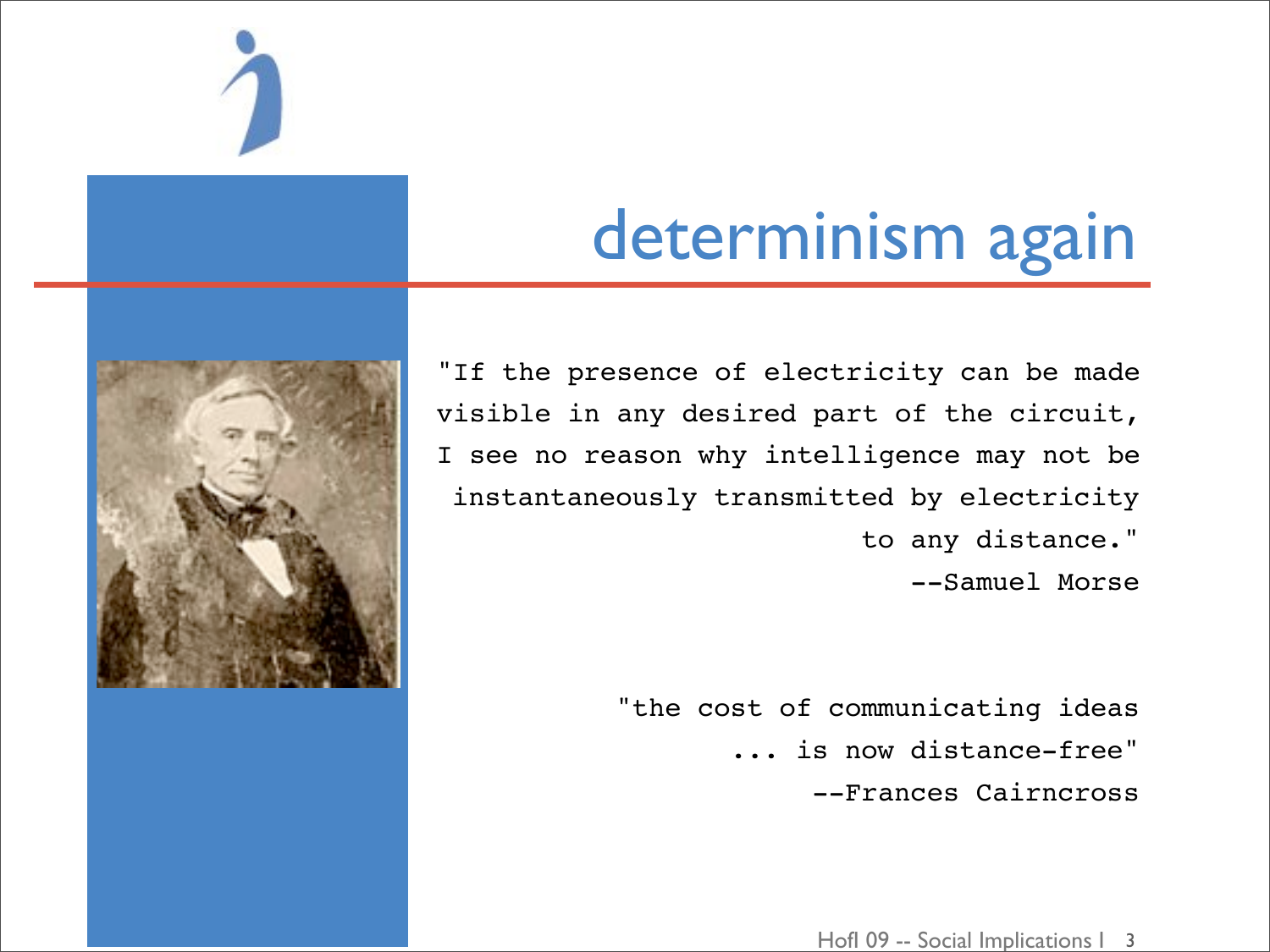

# determinism again

"If the presence of electricity can be made visible in any desired part of the circuit, I see no reason why intelligence may not be instantaneously transmitted by electricity to any distance." --Samuel Morse

> "the cost of communicating ideas ... is now distance-free" --Frances Cairncross

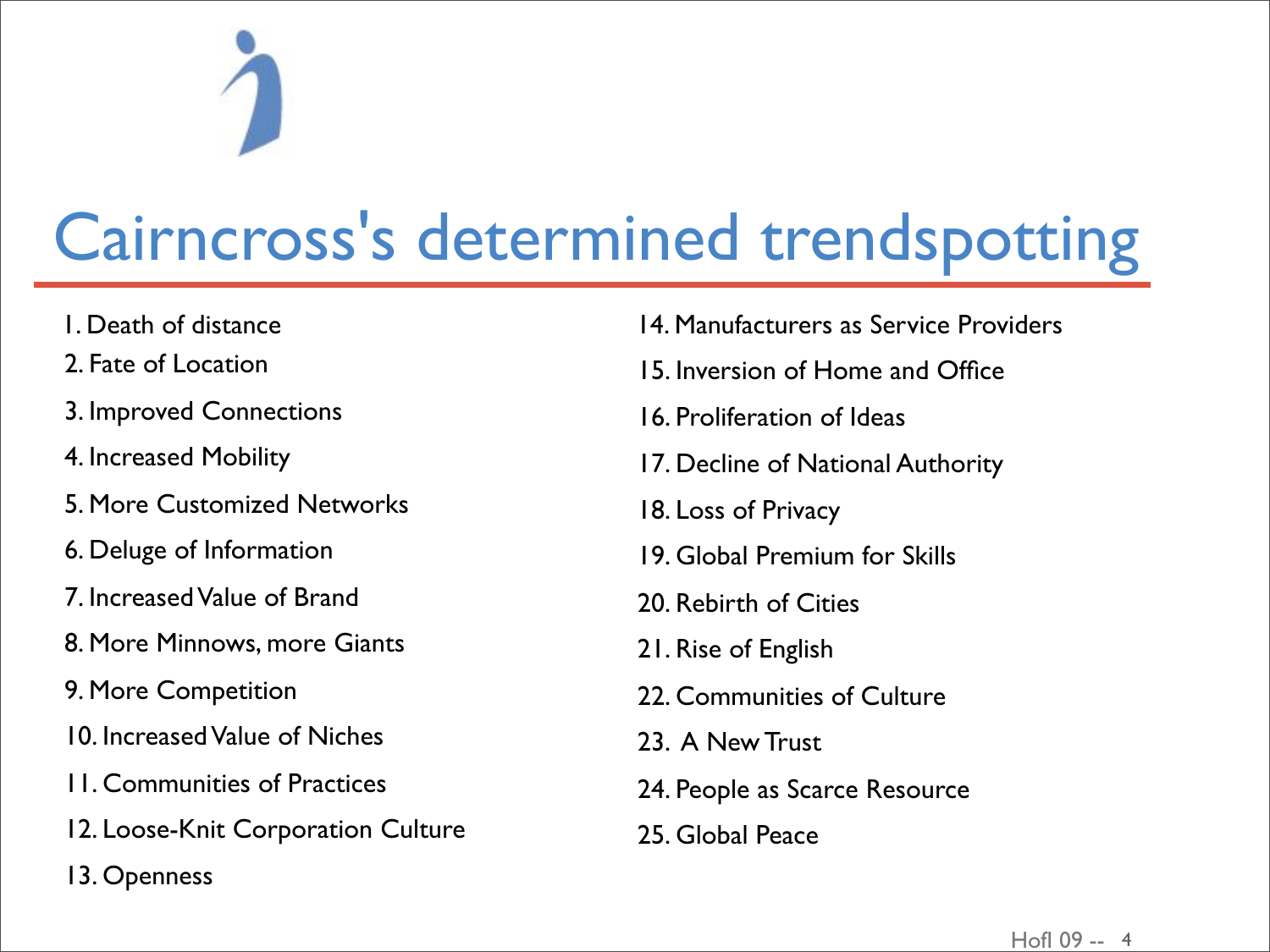# Cairncross's determined trendspotting

- 1. Death of distance
- 2. Fate of Location
- 3. Improved Connections
- 4. Increased Mobility
- 5. More Customized Networks
- 6. Deluge of Information
- 7. Increased Value of Brand
- 8. More Minnows, more Giants
- 9. More Competition
- 10. Increased Value of Niches
- 11. Communities of Practices
- 12. Loose-Knit Corporation Culture
- 13. Openness
- 14. Manufacturers as Service Providers
- 15. Inversion of Home and Office
- 16. Proliferation of Ideas
- 17. Decline of National Authority
- 18. Loss of Privacy
- 19. Global Premium for Skills
- 20. Rebirth of Cities
- 21. Rise of English
- 22. Communities of Culture
- 23. A New Trust
- 24. People as Scarce Resource
- 25. Global Peace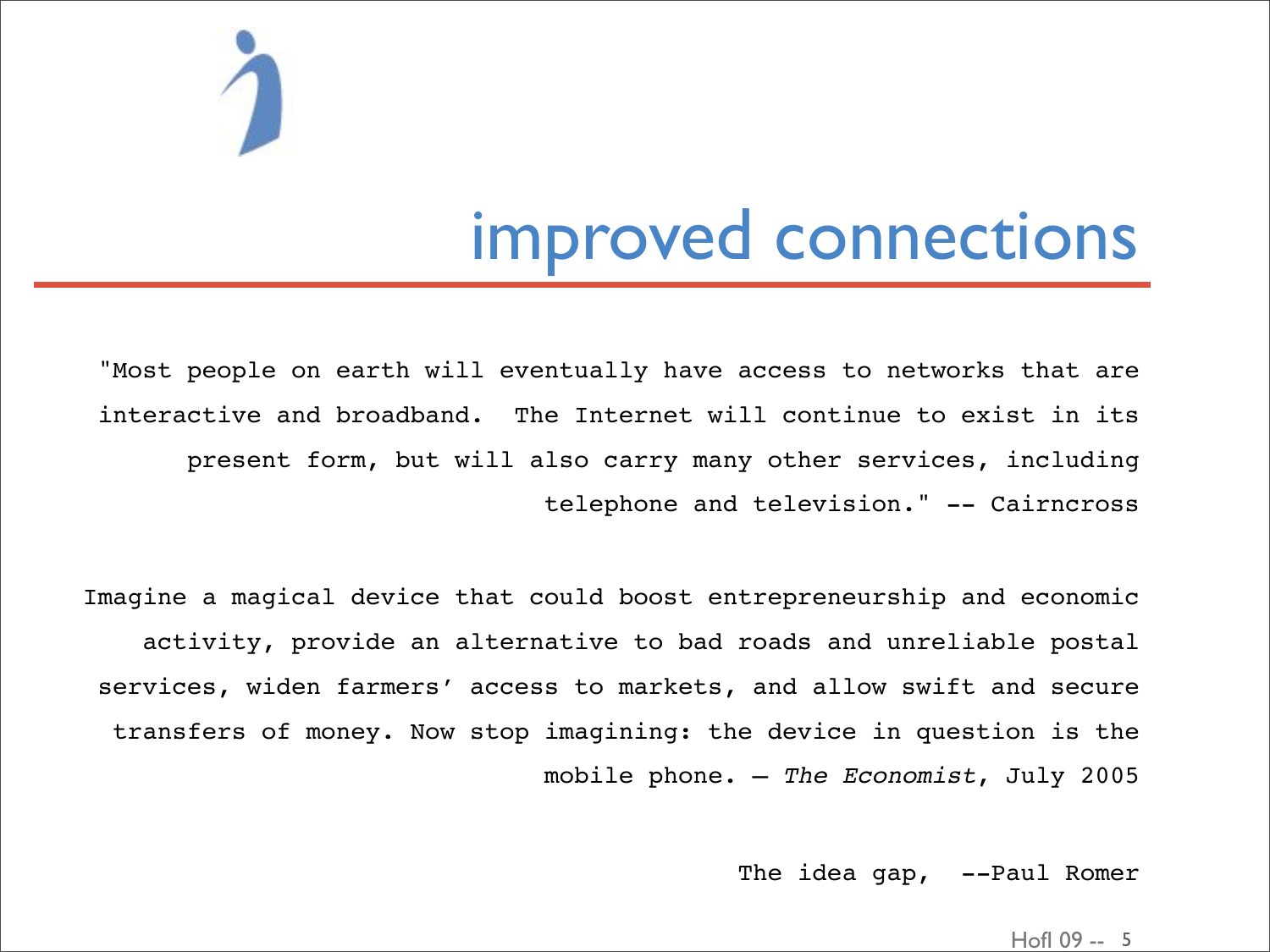

### improved connections

"Most people on earth will eventually have access to networks that are interactive and broadband. The Internet will continue to exist in its present form, but will also carry many other services, including telephone and television." -- Cairncross

Imagine a magical device that could boost entrepreneurship and economic activity, provide an alternative to bad roads and unreliable postal services, widen farmers' access to markets, and allow swift and secure transfers of money. Now stop imagining: the device in question is the mobile phone. – *The Economist*, July 2005

The idea gap, --Paul Romer

HofI 09 -- 5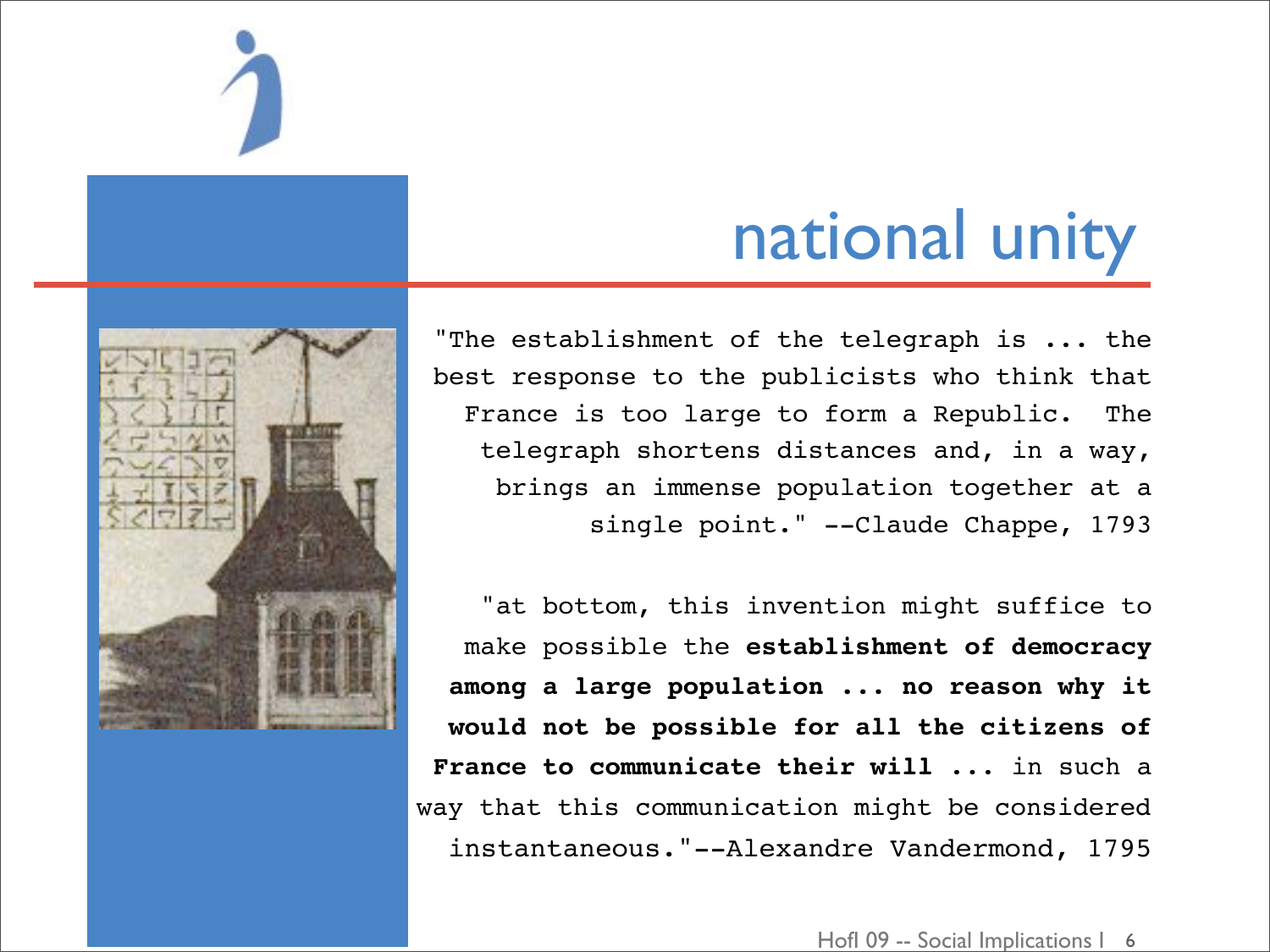

# national unity

"The establishment of the telegraph is ... the best response to the publicists who think that France is too large to form a Republic. The telegraph shortens distances and, in a way, brings an immense population together at a single point." --Claude Chappe, 1793

"at bottom, this invention might suffice to make possible the **establishment of democracy among a large population ... no reason why it would not be possible for all the citizens of France to communicate their will** ... in such a way that this communication might be considered instantaneous."--Alexandre Vandermond, 1795

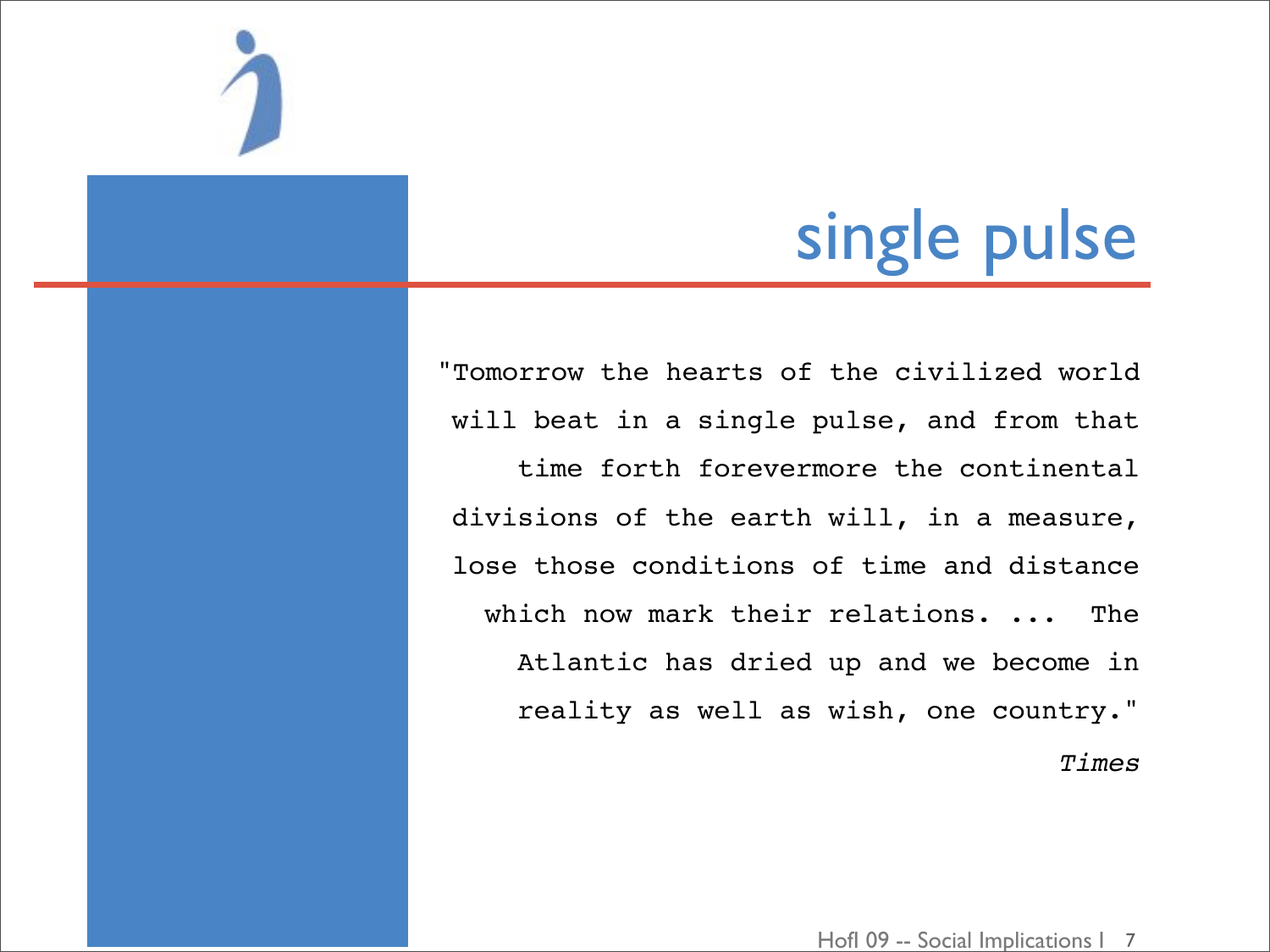

"Tomorrow the hearts of the civilized world will beat in a single pulse, and from that time forth forevermore the continental divisions of the earth will, in a measure, lose those conditions of time and distance which now mark their relations. ... The Atlantic has dried up and we become in reality as well as wish, one country." *Times*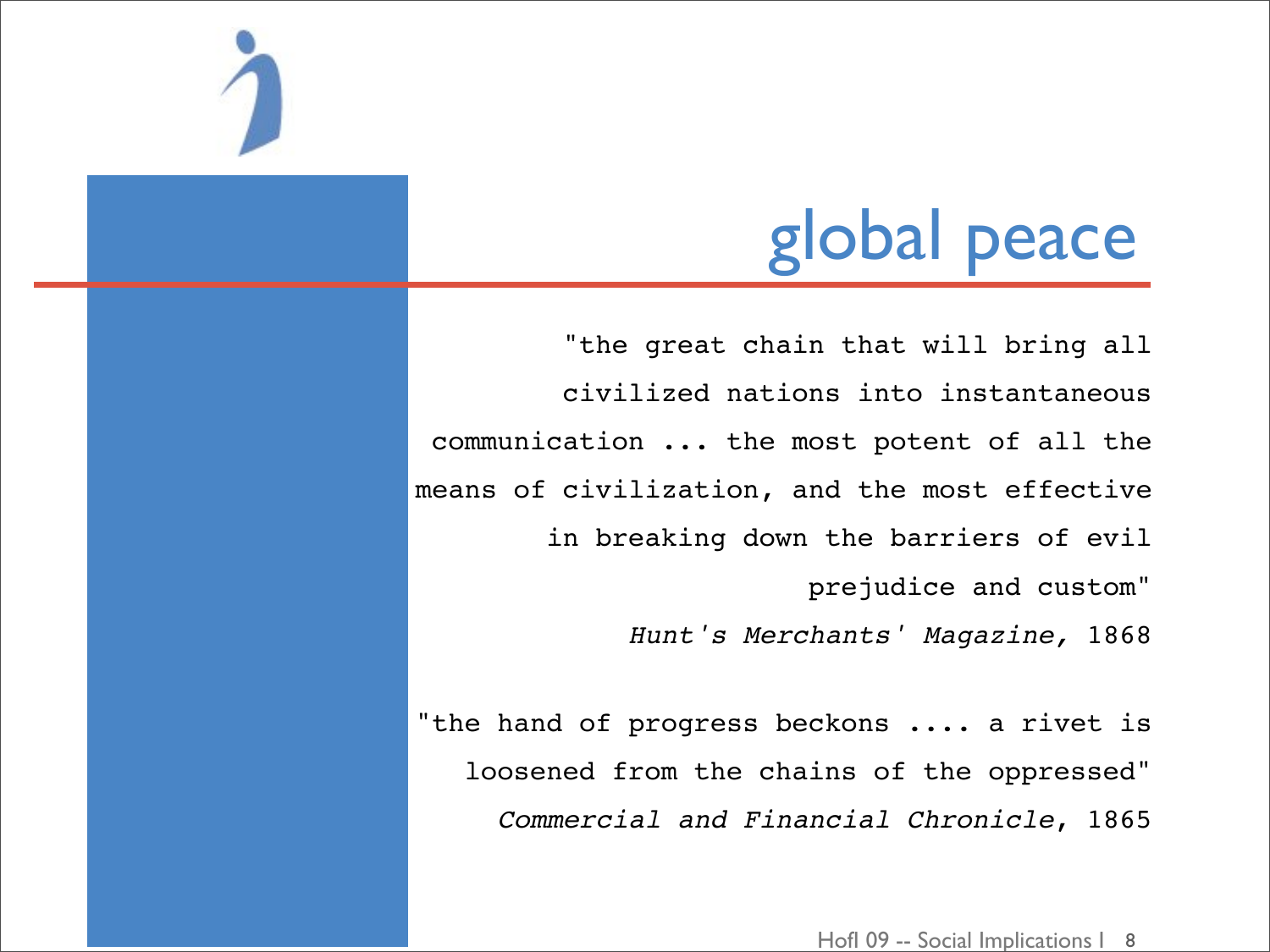### global peace

"the great chain that will bring all civilized nations into instantaneous communication ... the most potent of all the means of civilization, and the most effective in breaking down the barriers of evil prejudice and custom" Hunt's Merchants' Magazine, 1868

"the hand of progress beckons .... a rivet is loosened from the chains of the oppressed" Commercial and Financial Chronicle, 1865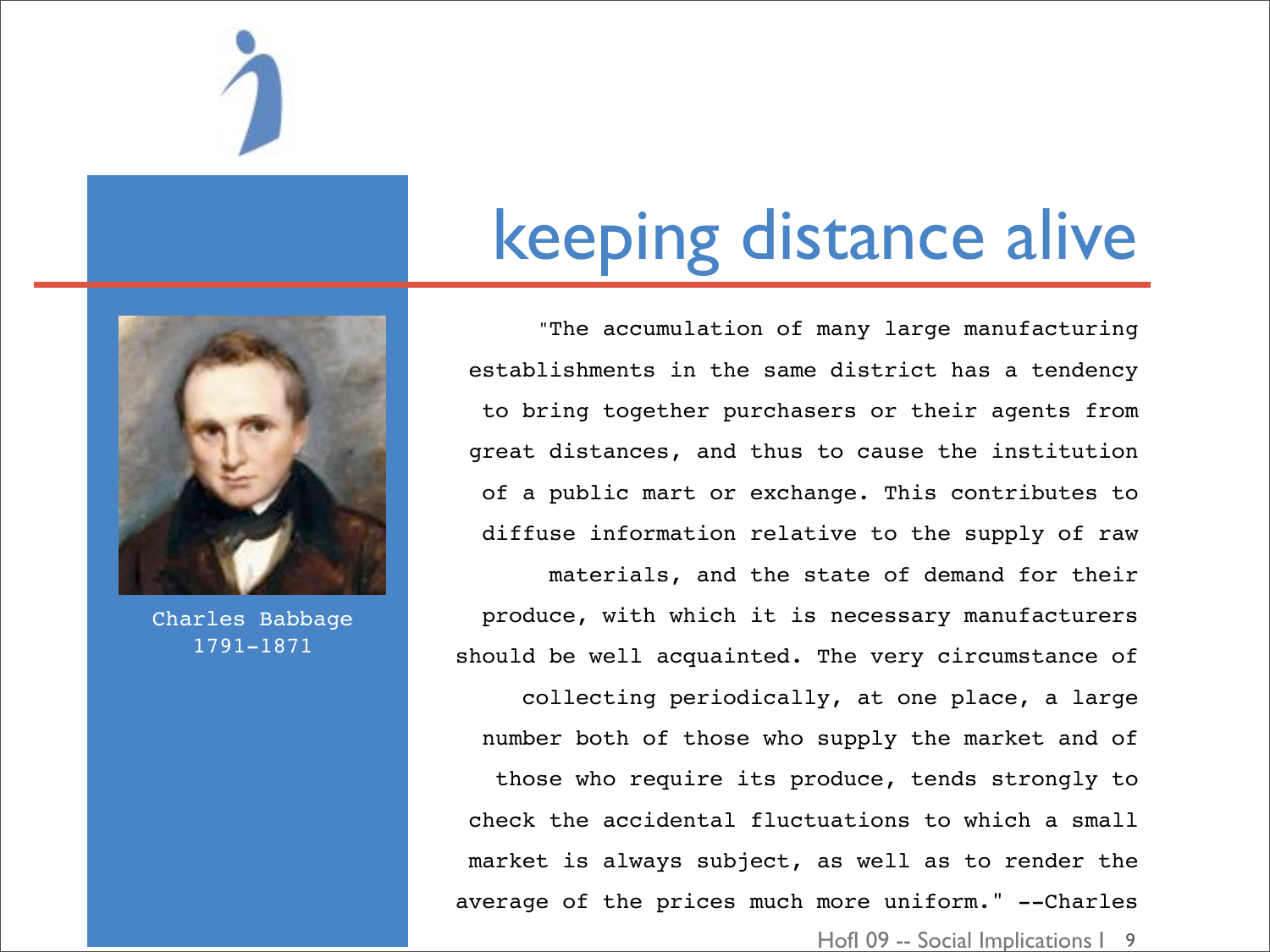

### keeping distance alive

 "The accumulation of many large manufacturing establishments in the same district has a tendency to bring together purchasers or their agents from great distances, and thus to cause the institution of a public mart or exchange. This contributes to diffuse information relative to the supply of raw materials, and the state of demand for their produce, with which it is necessary manufacturers should be well acquainted. The very circumstance of collecting periodically, at one place, a large number both of those who supply the market and of those who require its produce, tends strongly to check the accidental fluctuations to which a small market is always subject, as well as to render the average of the prices much more uniform." --Charles



Charles Babbage 1791-1871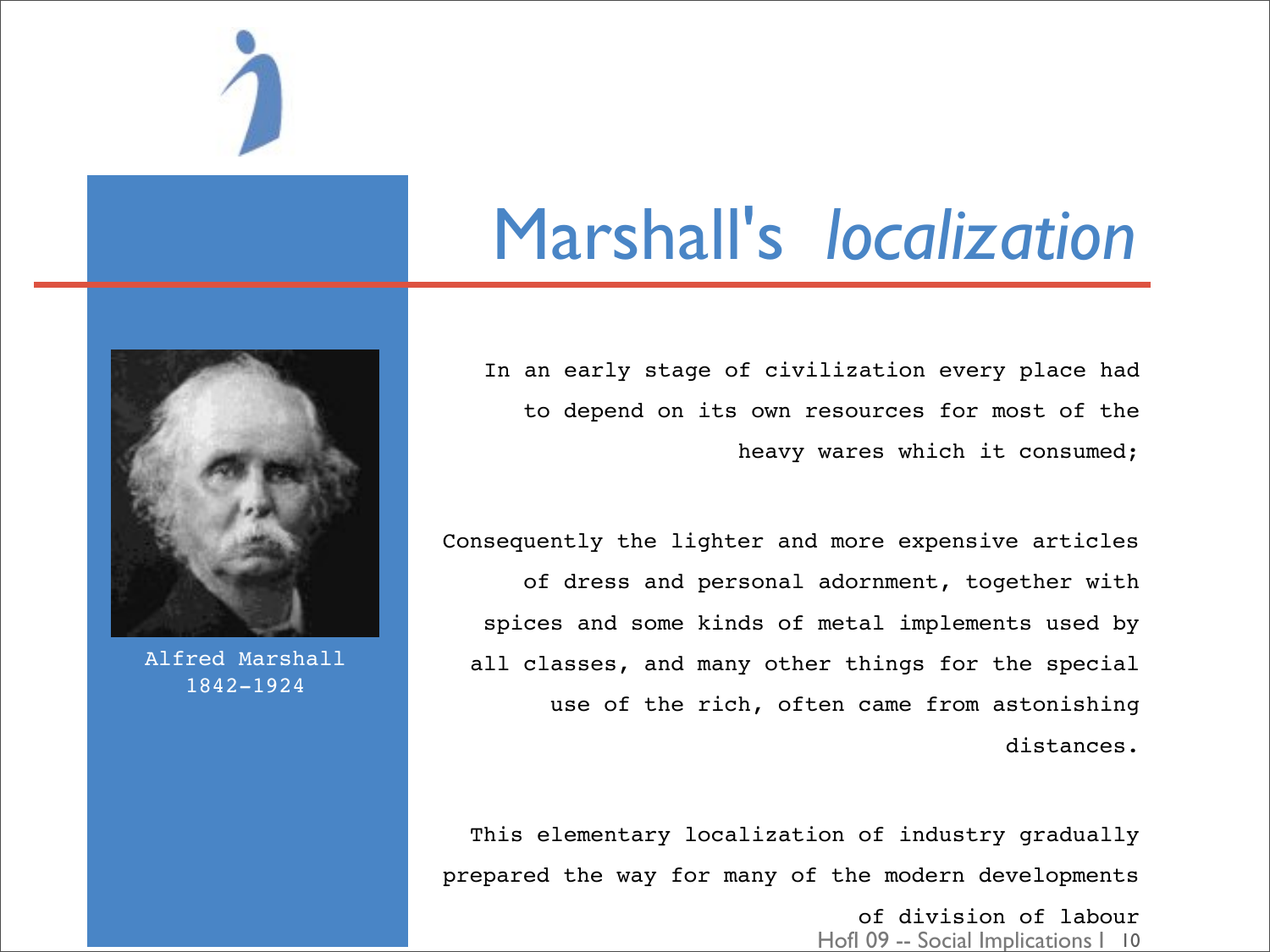

### Marshall's *localization*

In an early stage of civilization every place had to depend on its own resources for most of the heavy wares which it consumed;

Consequently the lighter and more expensive articles of dress and personal adornment, together with spices and some kinds of metal implements used by all classes, and many other things for the special use of the rich, often came from astonishing distances.

This elementary localization of industry gradually prepared the way for many of the modern developments

> Hofl 09 -- Social Implications | 10 of division of labour



Alfred Marshall 1842-1924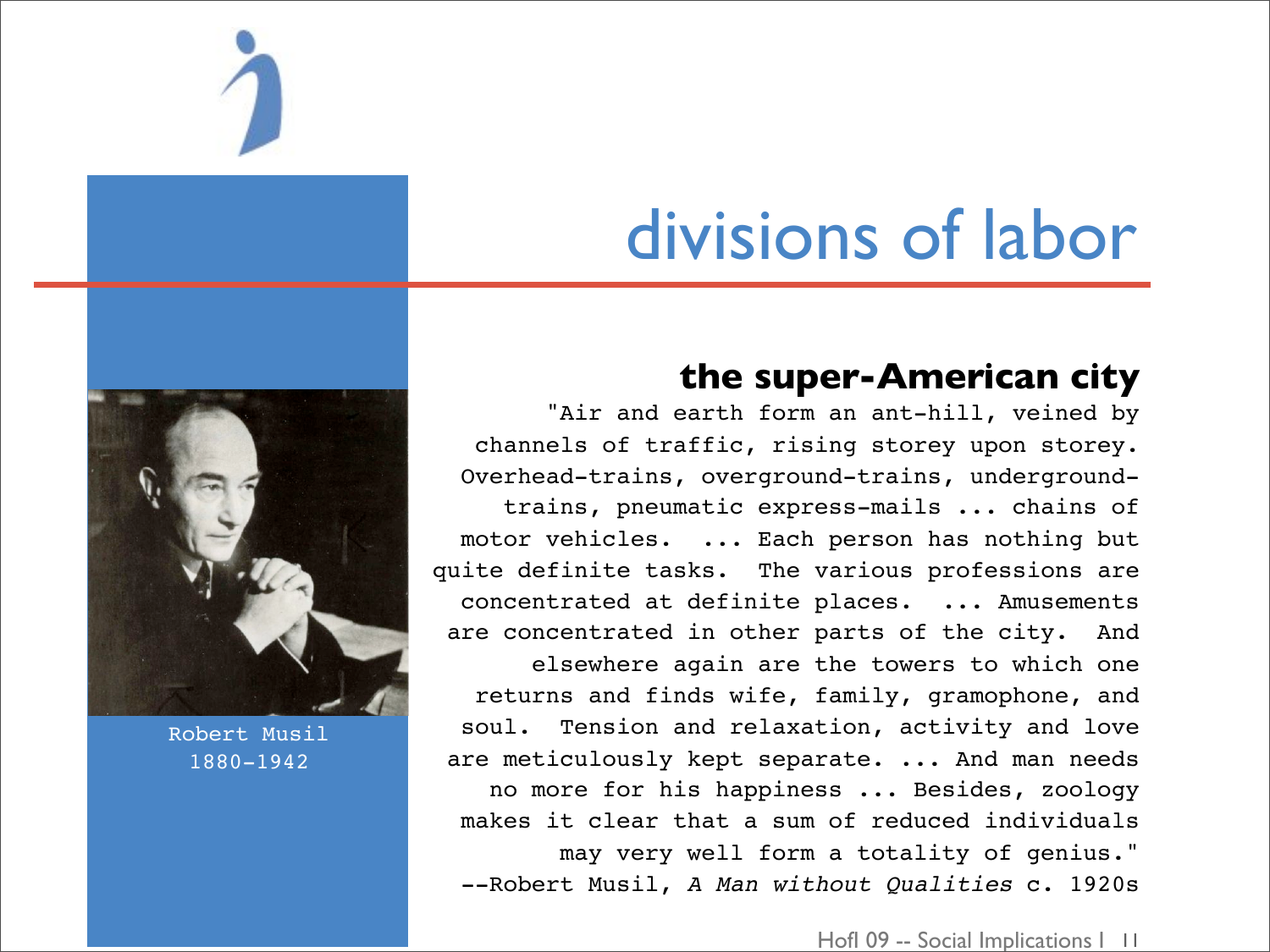

### divisions of labor

### **the super-American city**

"Air and earth form an ant-hill, veined by channels of traffic, rising storey upon storey. Overhead-trains, overground-trains, undergroundtrains, pneumatic express-mails ... chains of motor vehicles. ... Each person has nothing but quite definite tasks. The various professions are concentrated at definite places. ... Amusements are concentrated in other parts of the city. And elsewhere again are the towers to which one returns and finds wife, family, gramophone, and soul. Tension and relaxation, activity and love are meticulously kept separate. ... And man needs no more for his happiness ... Besides, zoology makes it clear that a sum of reduced individuals may very well form a totality of genius." --Robert Musil, *A Man without Qualities* c. 1920s



Robert Musil 1880-1942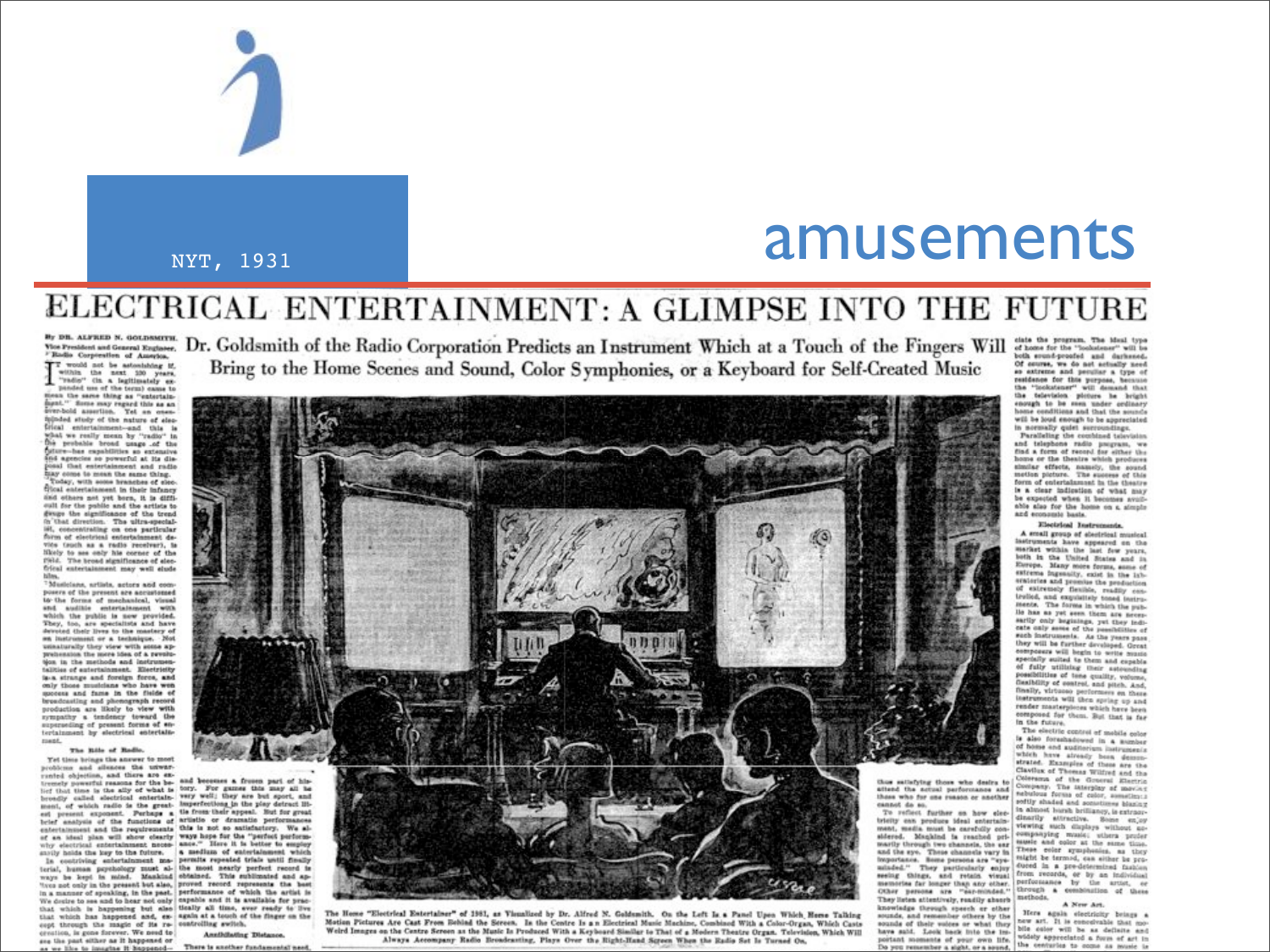

### NYT, 1931

### amusements

### ELECTRICAL ENTERTAINMENT: A GLIMPSE INTO THE FUTURE

By DR. ALFRED N. GOLDSMITH. Vice President and General Engineer. Badio Corporation of America.

 $\overline{X}$  would not be astonishing if, within the next 130 years, "radio" (in a legitimately expanded use of the term) came to nean the same thing as "entertain ment." Some may regard this as an even-<br>ever-bold assertion. Yet an ensu-<br>injuded study of the nature of elecitical entertainment-and this is what we really mean by "radio" in probable broad usage .of the re-has expabilities an extensive and agencies so powerful at its dis-<br>posal that entertainment and radio tay come to mean the same thing. day, with some branches of elecfitcal entertainment in their infancy and others not yet born, it is difficult for the public and the artists to gauge the significance of the trend h that direction. The ultra-special-I, concentrating on one particular form of electrical entertainment device truck as a radio receiver), is likely to see only his corner of the 1984. The broad significance of elecfrical entertainment may well clude

Musicians, artists, actors and composers of the present are accustomed to the forms of mechanical, visual and auditie entertainment with<br>which the public is now powided. They, too, are specialists and have<br>devoted their lives to the mastery of sa instrument or a technique. Not inaturally they view with some apprehension the more idea of a revolution in the methods and instruments is-a strange and foreign force, and only those musicians who have wen specess and fame in the fields of production are likely to view with<br>sympathy a tendency toward the superseding of present forms of ontertainment by electrical entertain ment

### The Rile of Radio. Yet time brings the answer to most

problems and alleaces the unwartremely powerful reasons for the be- and becomes a frozen part of his-<br>livit that time is the ally of what is tory. For games this may all be

broadly called electrical entertain. Very well; they are but sport, and ment, of which radio is the great- imperiestions in the play detract liters present exponent. Perhaps a tis from their appeal. But for great brief present in family of the functions of artistic or dramatic performances entertainment and the requirements this is not so autisfactory. We alenternaments and under requirements ways hope for the "perfect perform-<br>wity electrical entertainment mode- allows." Here it is better to seniory<br>with an intertainment mode- allows and the better to senior which an<br>arrive in concerning such that all the most nearly perfect record in ways he kept in mind. Mankind obtained. This most neerly perfect record in the and aptitude and aptitude of the persons but also, proved record represents the l We desire to see and to hear not only expable and it is available for practhat which is happening but also tically all time, ever ready to live that which has happened and, ex- again at a touch of the finger on the eept through the magic of its re- controlling switch. creation, is gone forever. We need to

**Annihilating Distance** ane the past either as it happened or There is another fundamental

Dr. Goldsmith of the Radio Corporation Predicts an Instrument Which at a Touch of the Fingers Will of home for the "boshdeer" will be the second that the program. The blue type Bring to the Home Scenes and Sound, Color Symphonies, or a Keyboard for Self-Created Music



The Home "Electrical Entertainer" of 1981, as Visualized by Dr. Alfred N. Goldsmith. On the Left Is a Panel Upon Which Home Talking Motion Pictures Are Cast From Robind the Sereen. In the Centre Is an Electrical Music Machine, Combined With a Color-Organ, Which Casts Weird Images on the Centre Screen as the Music Is Produced With a Keyboard Similar to That of a Modern Theatre Organ. Tolevision, Which Will Always Accompany Radio Broadcasting, Plays Over the Right-Hand Sqreen When the Radio Set Is Turned On,

Of course, we do not actually need so extreme and peculiar a type of restdence for this purpose, because<br>the "lookstener" will demand that the television picture he bright enough to be seen under cedinary home conditions and that the sounds<br>will be loud enough to be appreciated in normally quiet surroundings.

Paralleling the combined television<br>and telephone radio program, we<br>find a form of record for either the home or the theatre which produces similar effects, namely, the sound metho picture. The success of this<br>form of entertainment in the theatre is a clear indication of what may be expected when it becomes avoidable also for the home on a simple and economic basis.

### Electrical Instruments.

A small group of sheriving musical iruments have appeared on the market within the last few years, loth in the United States and in Europe. Many more forms, some of extrems ingensity, exist in the labscaleries and promise the production of extremely flexible, readily controlled, and exquisitely toned instruments. The forms in which the publle has as yet seen them are necessarily only beginings, yet they indisuch instruments. As the years pass they will be further developed. Great composers will begin to write music specially suited to them and capable of fully utilizing their automobility possibility. Casiblify of control, and pitch, And, finally, wirtuous performers on these learned render masterploces which have been composed for them. But that is far In the future.

The electric control of mobile color is also foreshadowed in a number of home and auditorium instruments which have already been demon strated. Examples of these are the Clavilux of Thomas Wilfred and the Colerama of the Groeral Electric nebulous forms of color, sometime.s softly shaded and sonationsa blazing

in almost hursh brilliancy, is extraordinarily attractive. Some enjoy viewing such displays without accompanying music; uthers profer sausie and color at the same time. These color symphonics, as they reight be termed, can either be profrom records, or by an individual performance by the artist, or through a combination of these methods.

### A New Art.

Here again electricity beings a sounds, and remember others by the new art. It is conceivable that mosounds of their voices or what they have said. Look back into the imwidely appreciated a form of art in postant moments of your own life. the centuries to come as my lo you remember a sight, or a sound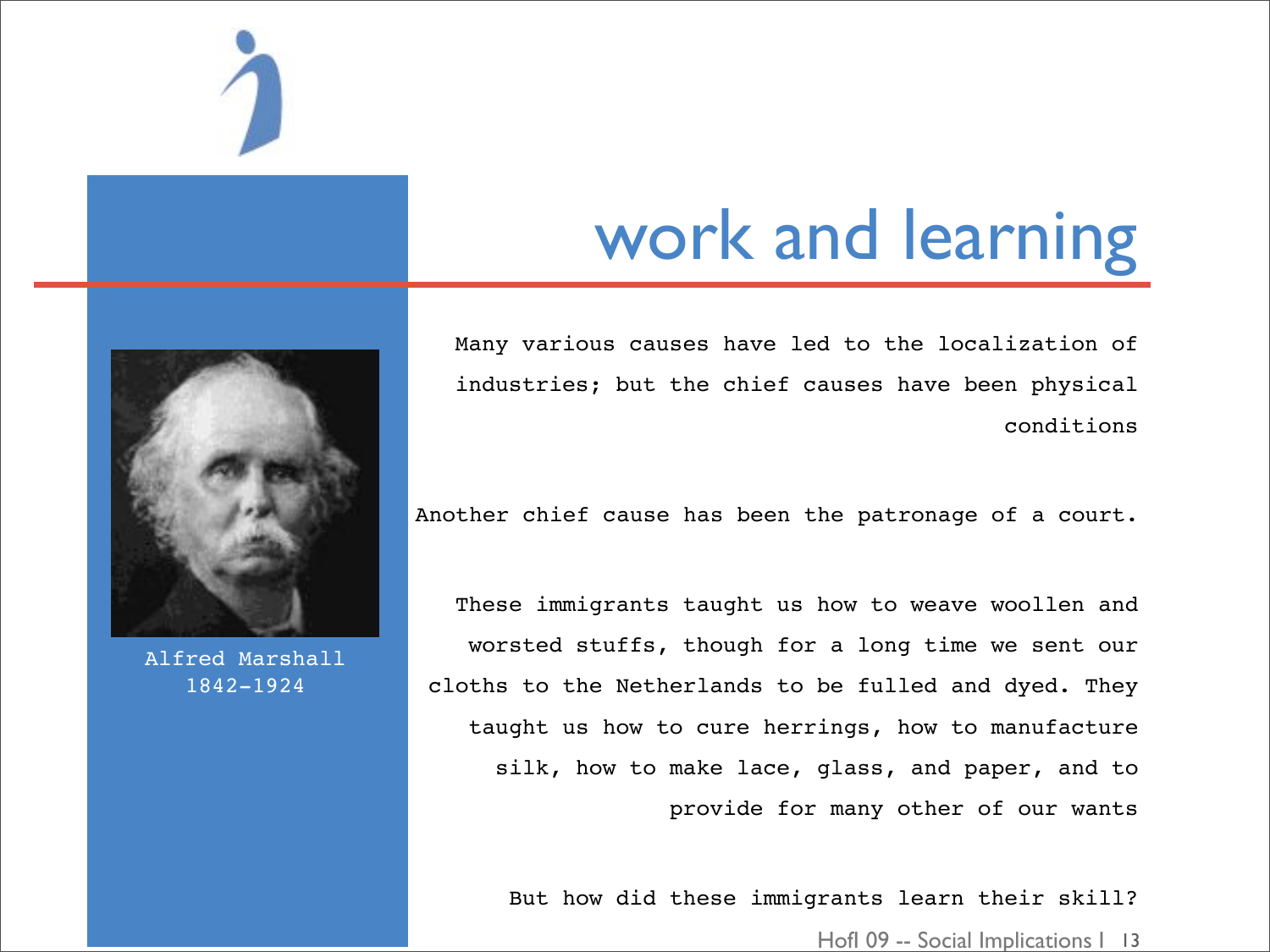

### work and learning

Many various causes have led to the localization of industries; but the chief causes have been physical conditions

Another chief cause has been the patronage of a court.

These immigrants taught us how to weave woollen and worsted stuffs, though for a long time we sent our cloths to the Netherlands to be fulled and dyed. They taught us how to cure herrings, how to manufacture silk, how to make lace, glass, and paper, and to provide for many other of our wants

But how did these immigrants learn their skill?



Alfred Marshall 1842-1924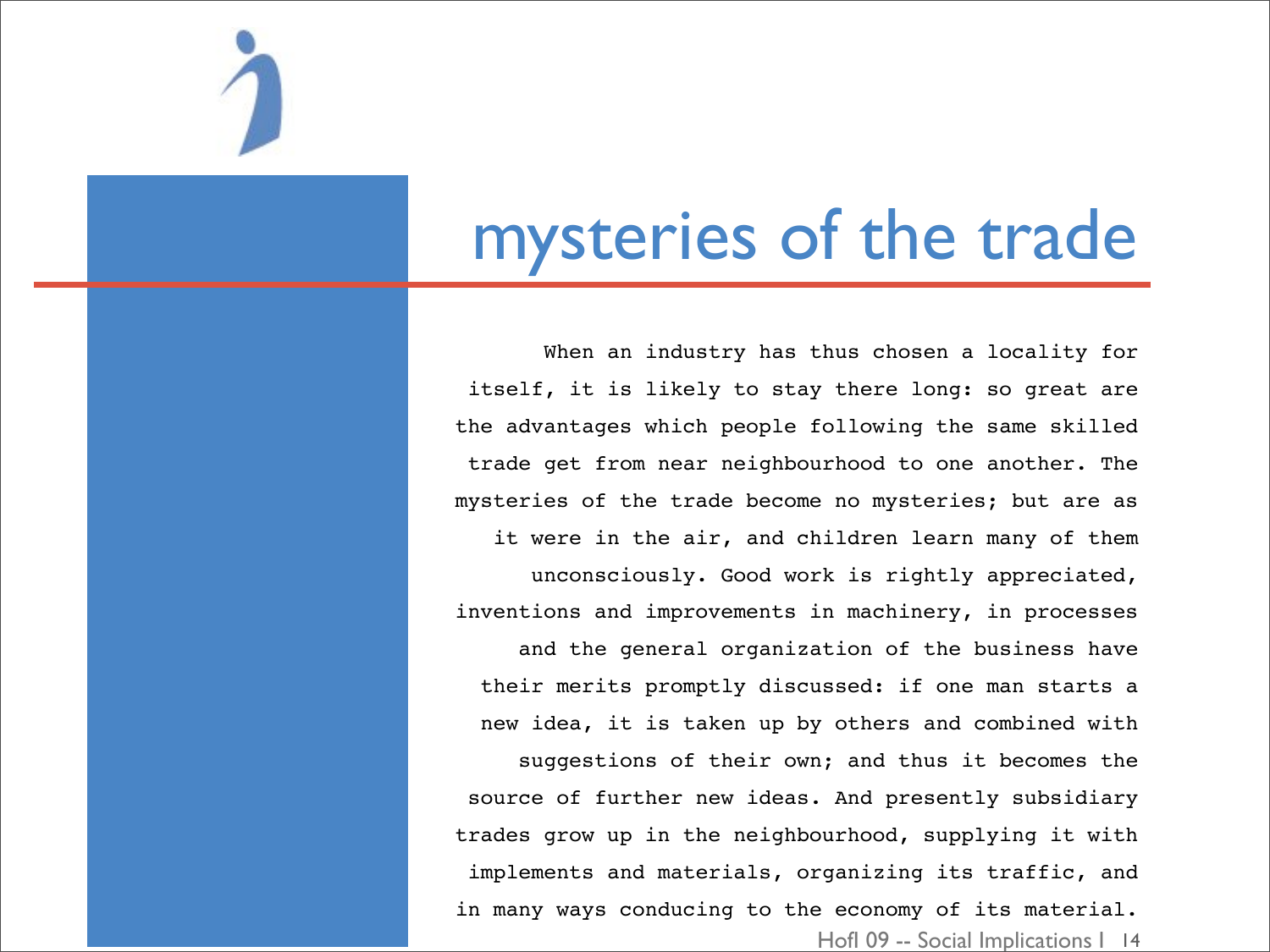

### mysteries of the trade

Hofl 09 -- Social Implications | 14 When an industry has thus chosen a locality for itself, it is likely to stay there long: so great are the advantages which people following the same skilled trade get from near neighbourhood to one another. The mysteries of the trade become no mysteries; but are as it were in the air, and children learn many of them unconsciously. Good work is rightly appreciated, inventions and improvements in machinery, in processes and the general organization of the business have their merits promptly discussed: if one man starts a new idea, it is taken up by others and combined with suggestions of their own; and thus it becomes the source of further new ideas. And presently subsidiary trades grow up in the neighbourhood, supplying it with implements and materials, organizing its traffic, and in many ways conducing to the economy of its material.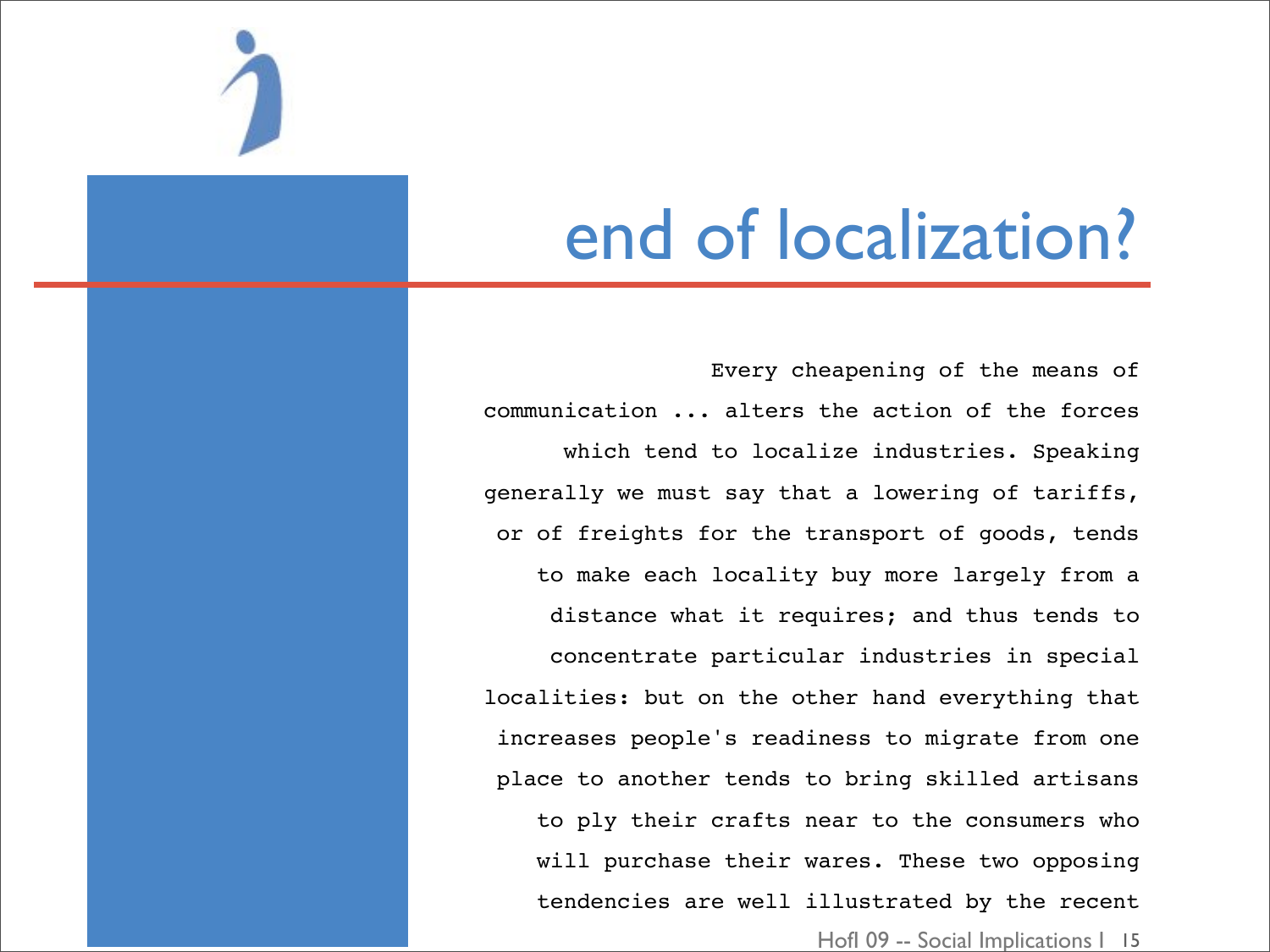

### end of localization?

Every cheapening of the means of communication ... alters the action of the forces which tend to localize industries. Speaking generally we must say that a lowering of tariffs, or of freights for the transport of goods, tends to make each locality buy more largely from a distance what it requires; and thus tends to concentrate particular industries in special localities: but on the other hand everything that increases people's readiness to migrate from one place to another tends to bring skilled artisans to ply their crafts near to the consumers who will purchase their wares. These two opposing tendencies are well illustrated by the recent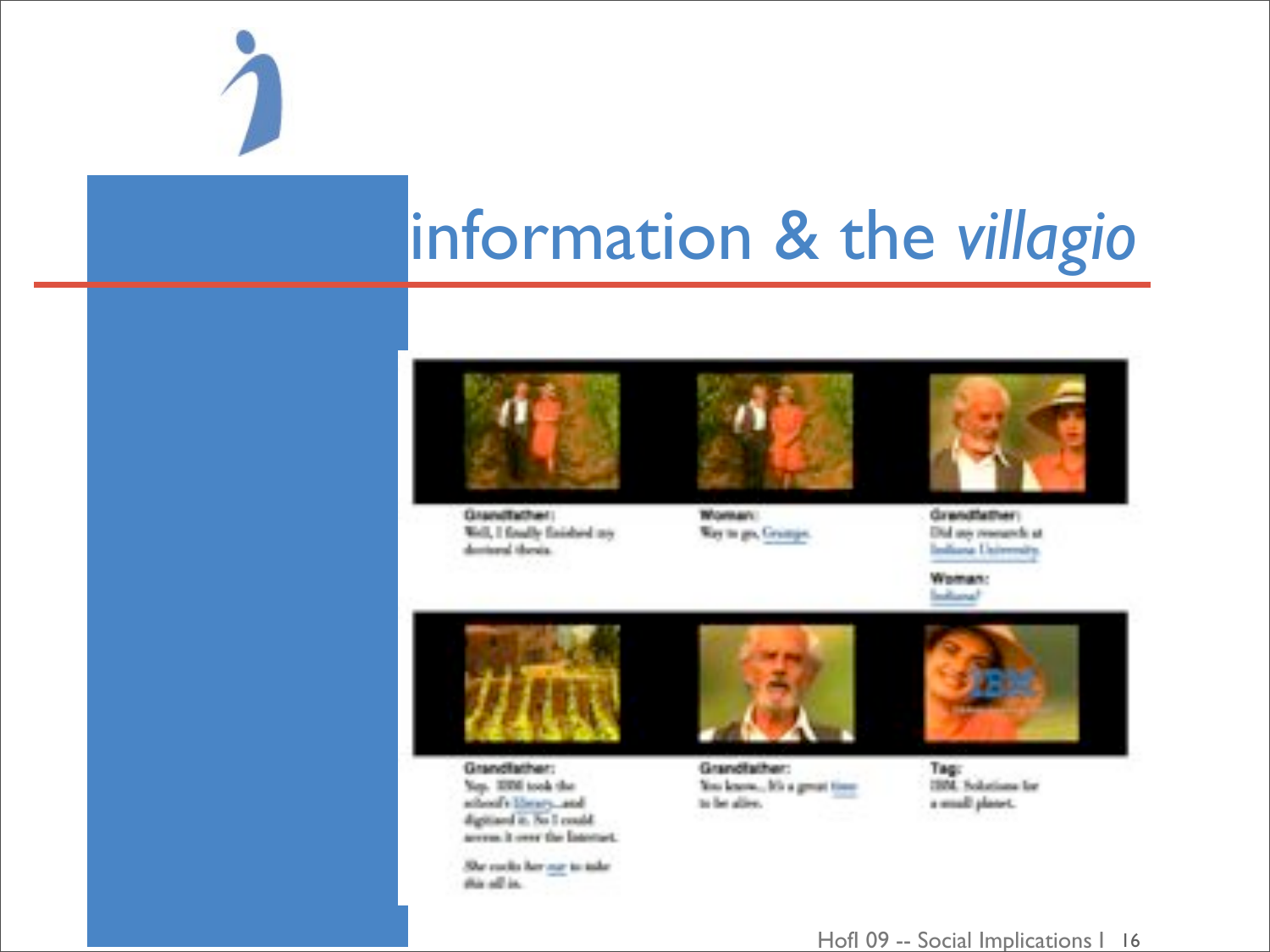

### information & the villagio



Grandfather: Well, I finally finished my destoral thesis.



Woman: Way to go, Gramps.



**Grendfather:** Did use research at Indiana University.

Woman: **Industrial** 



Grandfather: Nep. 2000 took the school's library, and digitized it. No I could arrest it over the Internet.

She codo her na to take this off in.



Grandfather: You know... My a great time to be aller.



Tag: 1958. Solutions for a small planet.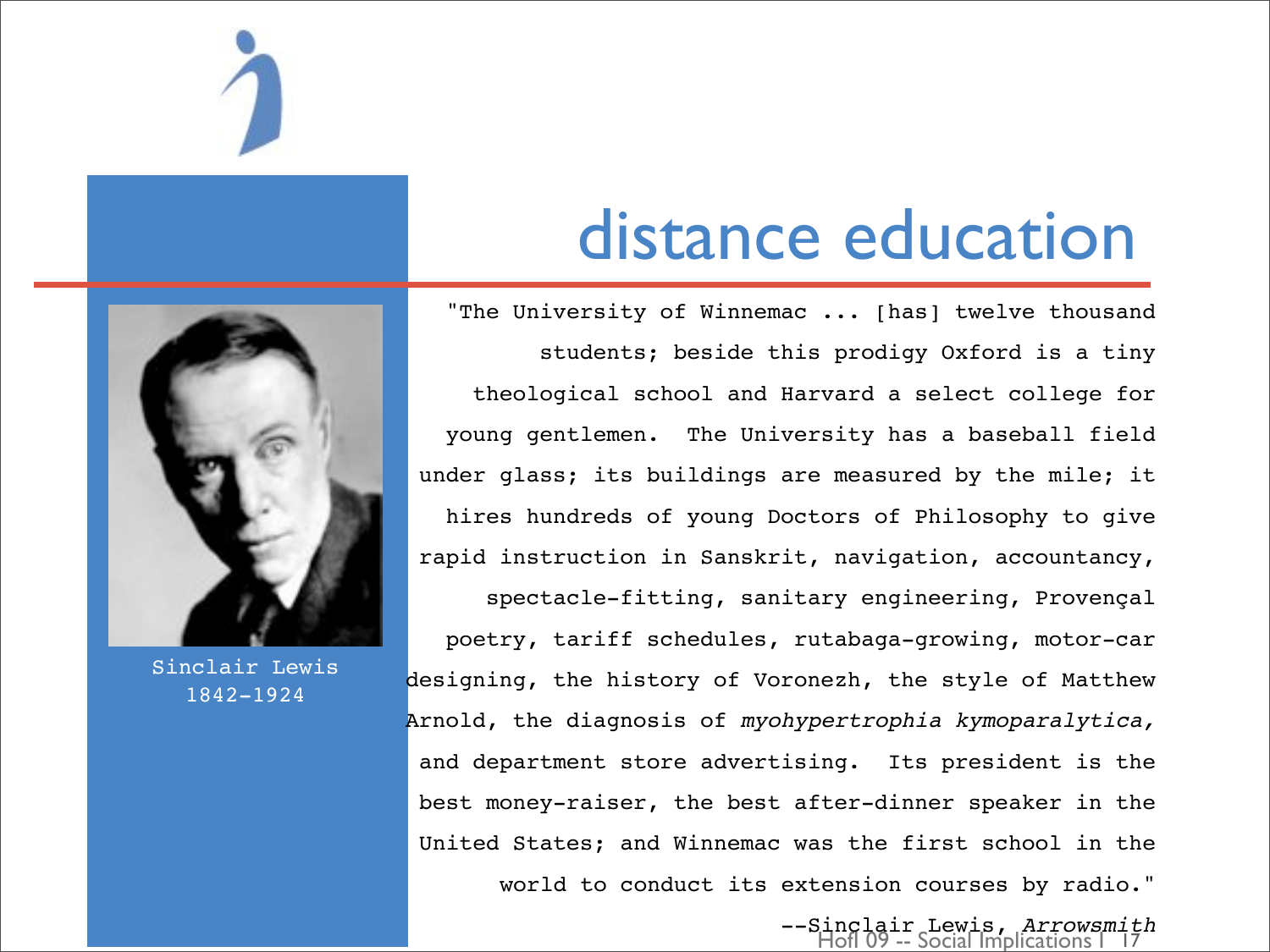

### distance education

"The University of Winnemac ... [has] twelve thousand students; beside this prodigy Oxford is a tiny theological school and Harvard a select college for young gentlemen. The University has a baseball field under glass; its buildings are measured by the mile; it hires hundreds of young Doctors of Philosophy to give rapid instruction in Sanskrit, navigation, accountancy,

spectacle-fitting, sanitary engineering, Provençal poetry, tariff schedules, rutabaga-growing, motor-car designing, the history of Voronezh, the style of Matthew Arnold, the diagnosis of *myohypertrophia kymoparalytica,* and department store advertising. Its president is the best money-raiser, the best after-dinner speaker in the United States; and Winnemac was the first school in the world to conduct its extension courses by radio."



Sinclair Lewis 1842-1924

HofI 09 -- Social Implications I --Sinclair Lewis, *Arrowsmith*  $\bar{1}\bar{7}$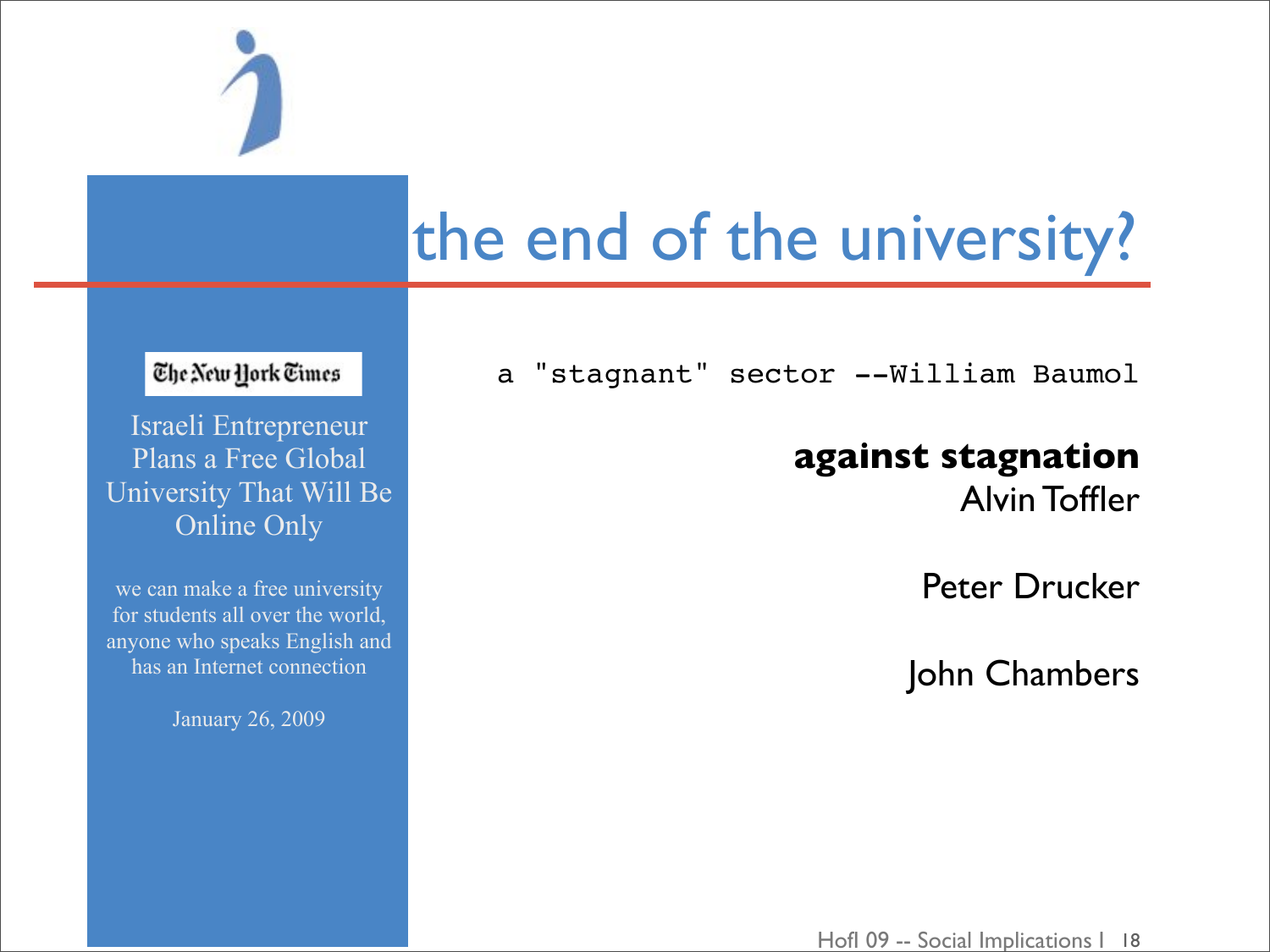

# the end of the university?

a "stagnant" sector --William Baumol

### **against stagnation**

Alvin Toffler

Peter Drucker

John Chambers

### The New York Times

Israeli Entrepreneur Plans a Free Global University That Will Be Online Only

we can make a free university for students all over the world, anyone who speaks English and has an Internet connection

January 26, 2009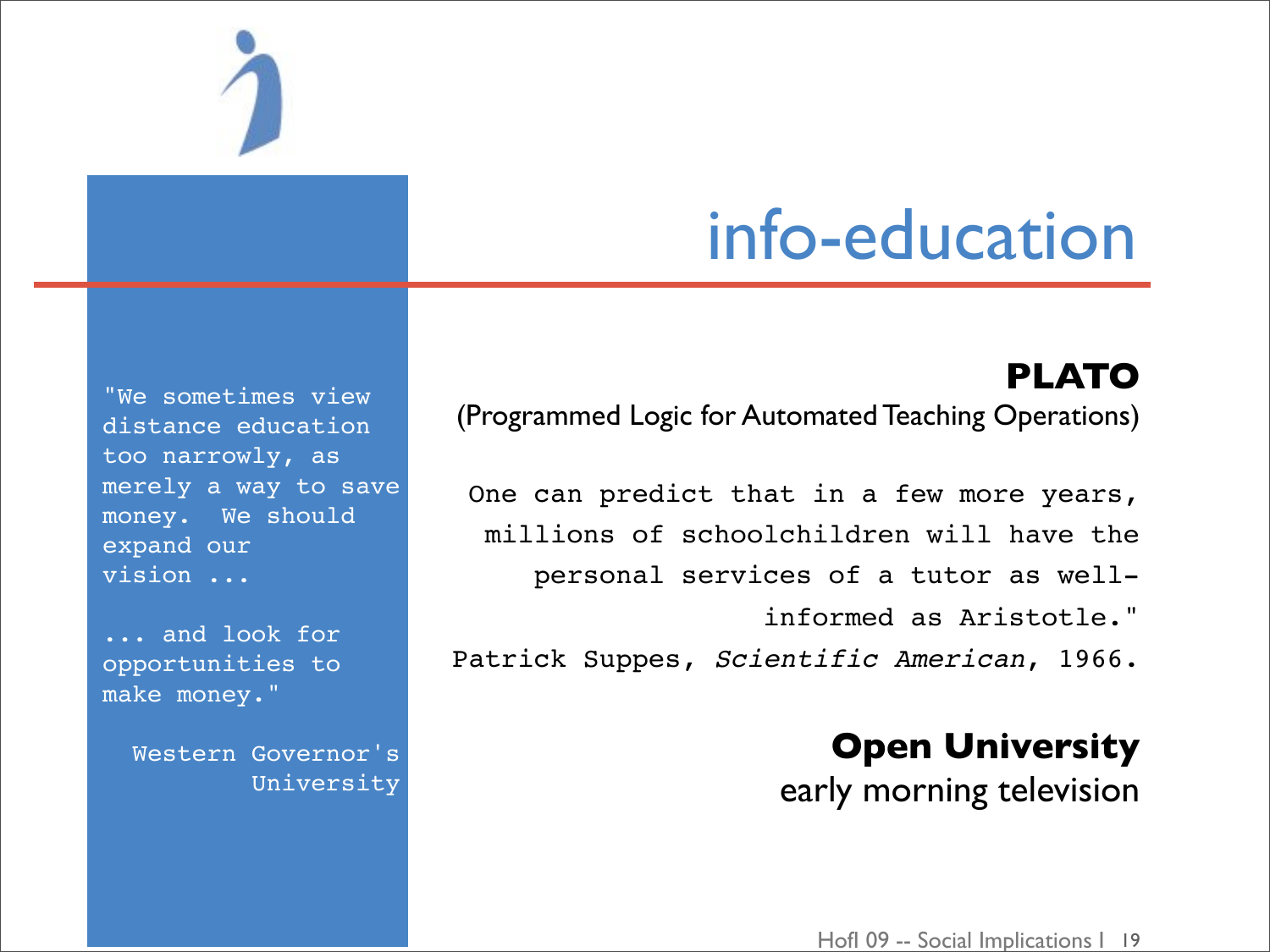

### info-education

**PLATO** (Programmed Logic for Automated Teaching Operations)

One can predict that in a few more years, millions of schoolchildren will have the personal services of a tutor as wellinformed as Aristotle." Patrick Suppes, *Scientific American*, 1966.

> **Open University** early morning television

"We sometimes view distance education too narrowly, as merely a way to save money. We should expand our vision ...

... and look for opportunities to make money."

Western Governor's University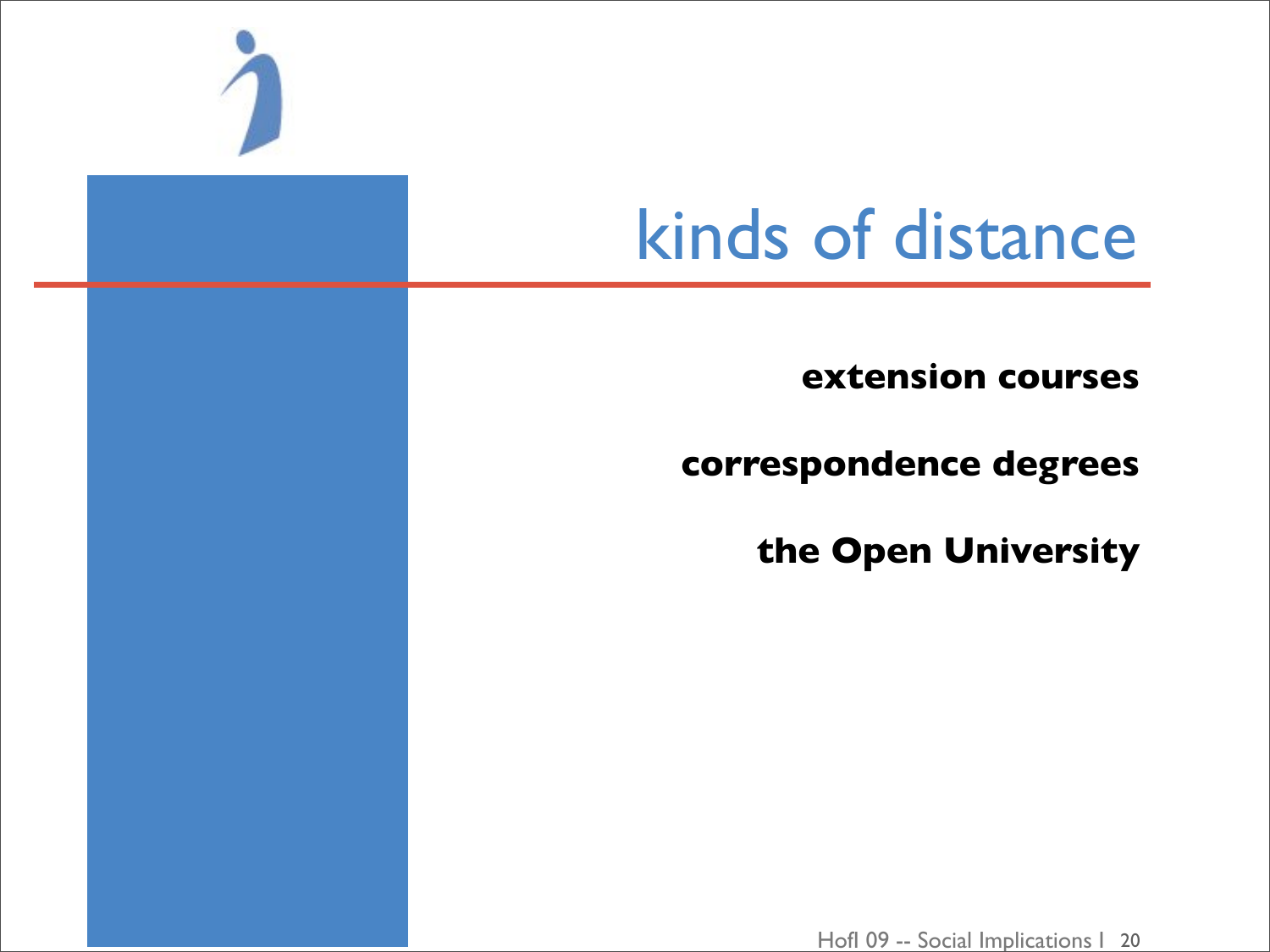

# kinds of distance

extension courses

correspondence degrees

the Open University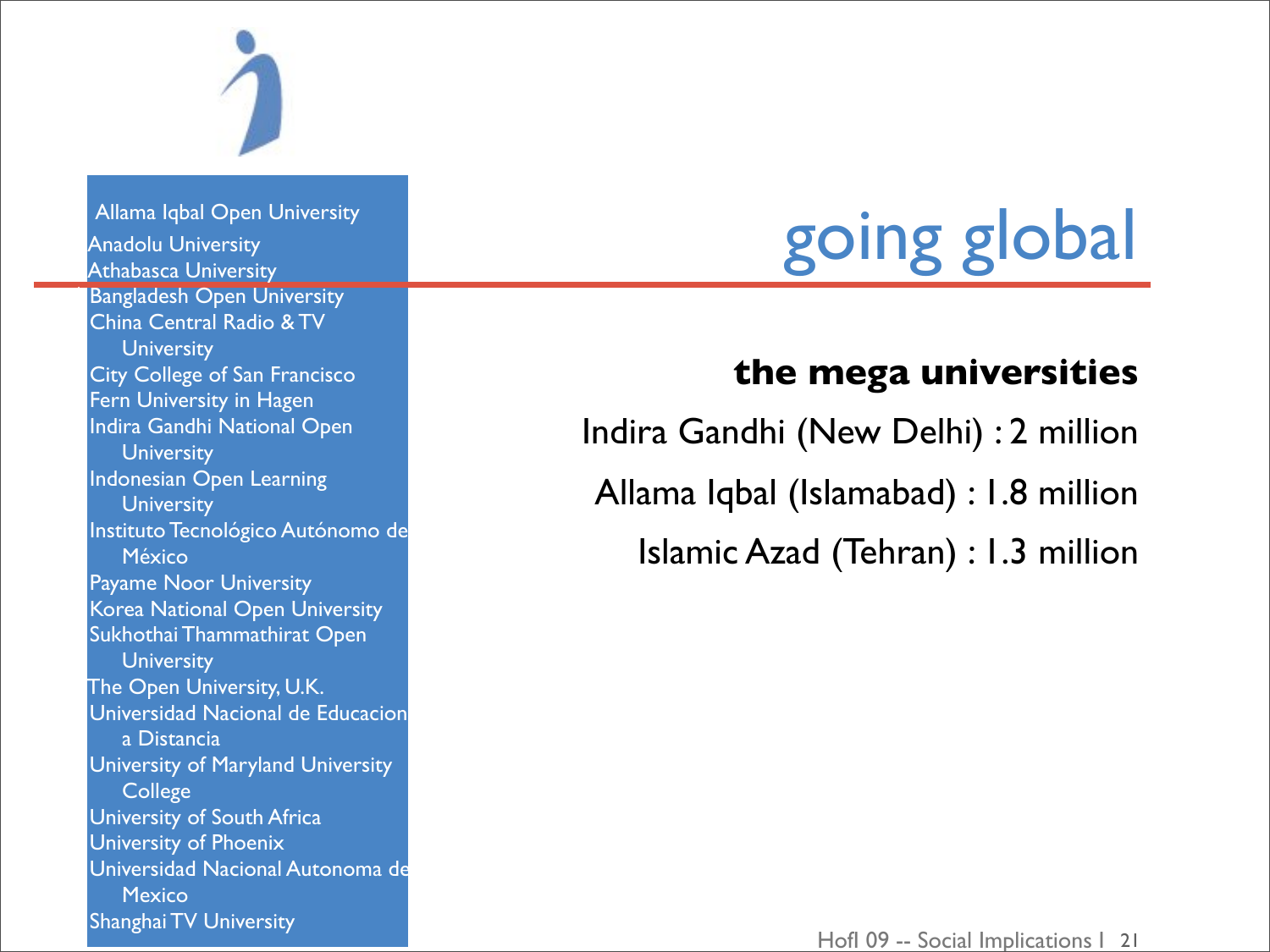

Allama Iqbal Open University **Anadolu University Athabasca University Bangladesh Open University** China Central Radio & TV **University City College of San Francisco** Fern University in Hagen Indira Gandhi National Open **University** Indonesian Open Learning **University** Instituto Tecnológico Autónomo de México Payame Noor University Korea National Open University Sukhothai Thammathirat Open **University** The Open University, U.K. Universidad Nacional de Educacion a Distancia University of Maryland University **College** University of South Africa University of Phoenix Universidad Nacional Autonoma de **Mexico Shanghai TV University** 

# going global

### **the mega universities**

Indira Gandhi (New Delhi) : 2 million Allama Iqbal (Islamabad) : 1.8 million Islamic Azad (Tehran) : 1.3 million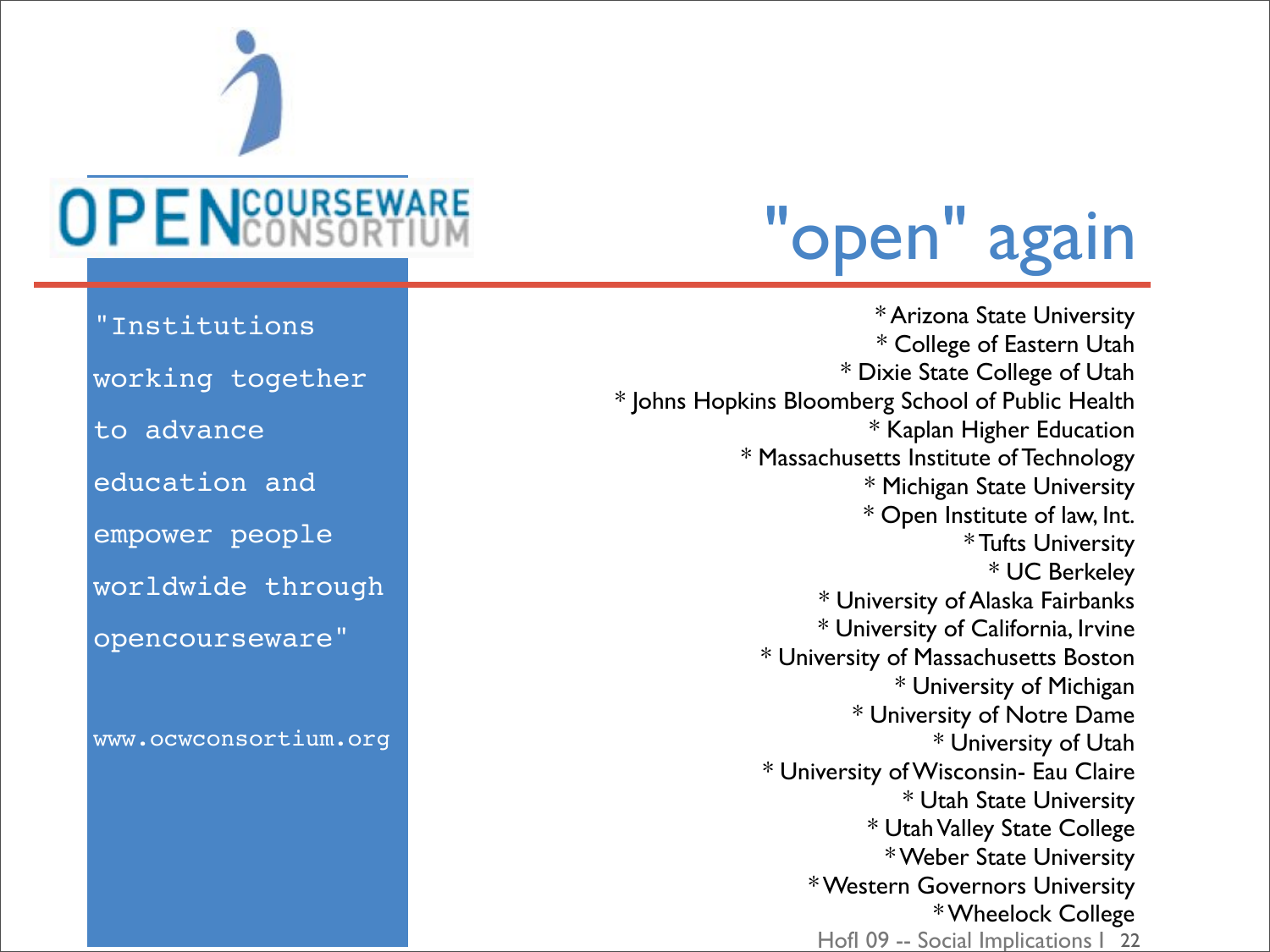

# "open" again

Hofl 09 -- Social Implications | 22 \* Arizona State University \* College of Eastern Utah \* Dixie State College of Utah \* Johns Hopkins Bloomberg School of Public Health \* Kaplan Higher Education \* Massachusetts Institute of Technology \* Michigan State University \* Open Institute of law, Int. \* Tufts University \* UC Berkeley \* University of Alaska Fairbanks \* University of California, Irvine \* University of Massachusetts Boston \* University of Michigan \* University of Notre Dame \* University of Utah \* University of Wisconsin- Eau Claire \* Utah State University \* Utah Valley State College \* Weber State University \* Western Governors University \* Wheelock College

"Institutions

- working together
- to advance
- education and
- empower people
- worldwide through
- opencourseware"

[www.ocwconsortium.org](http://www.ocwconsortium.org)